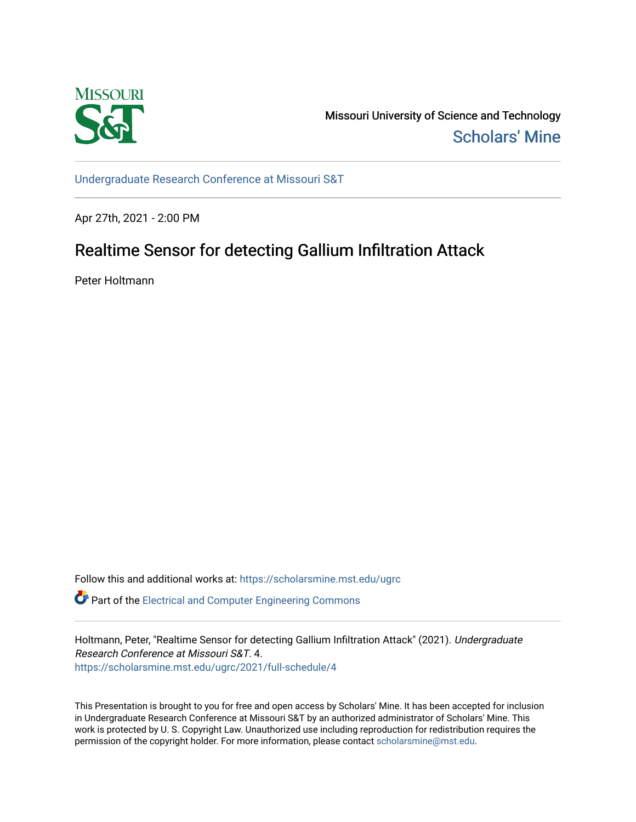

Missouri University of Science and Technology [Scholars' Mine](https://scholarsmine.mst.edu/) 

[Undergraduate Research Conference at Missouri S&T](https://scholarsmine.mst.edu/ugrc)

Apr 27th, 2021 - 2:00 PM

## Realtime Sensor for detecting Gallium Infiltration Attack

Peter Holtmann

Follow this and additional works at: [https://scholarsmine.mst.edu/ugrc](https://scholarsmine.mst.edu/ugrc?utm_source=scholarsmine.mst.edu%2Fugrc%2F2021%2Ffull-schedule%2F4&utm_medium=PDF&utm_campaign=PDFCoverPages) 

**C** Part of the Electrical and Computer Engineering Commons

Holtmann, Peter, "Realtime Sensor for detecting Gallium Infiltration Attack" (2021). Undergraduate Research Conference at Missouri S&T. 4. [https://scholarsmine.mst.edu/ugrc/2021/full-schedule/4](https://scholarsmine.mst.edu/ugrc/2021/full-schedule/4?utm_source=scholarsmine.mst.edu%2Fugrc%2F2021%2Ffull-schedule%2F4&utm_medium=PDF&utm_campaign=PDFCoverPages)

This Presentation is brought to you for free and open access by Scholars' Mine. It has been accepted for inclusion in Undergraduate Research Conference at Missouri S&T by an authorized administrator of Scholars' Mine. This work is protected by U. S. Copyright Law. Unauthorized use including reproduction for redistribution requires the permission of the copyright holder. For more information, please contact [scholarsmine@mst.edu](mailto:scholarsmine@mst.edu).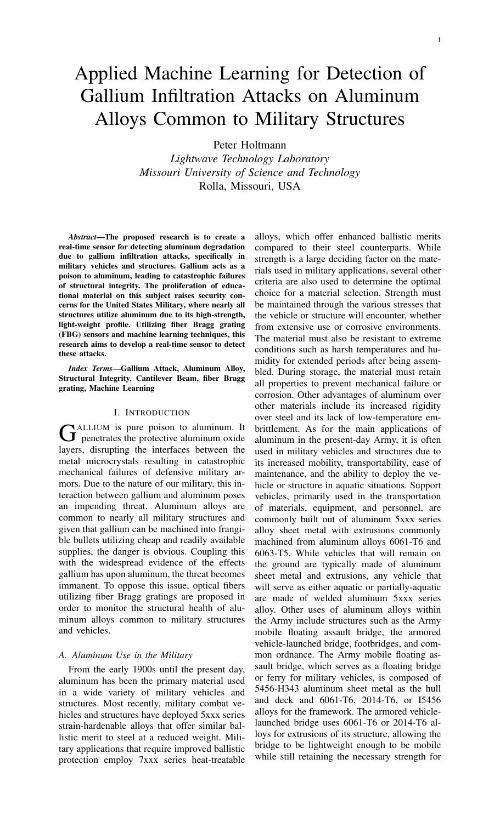# Applied Machine Learning for Detection of Gallium Infiltration Attacks on Aluminum Alloys Common to Military Structures

Peter Holtmann

*Lightwave Technology Laboratory Missouri University of Science and Technology* Rolla, Missouri, USA

*Abstract*—The proposed research is to create a real-time sensor for detecting aluminum degradation due to gallium infiltration attacks, specifically in military vehicles and structures. Gallium acts as a poison to aluminum, leading to catastrophic failures of structural integrity. The proliferation of educational material on this subject raises security concerns for the United States Military, where nearly all structures utilize aluminum due to its high-strength, light-weight profile. Utilizing fiber Bragg grating (FBG) sensors and machine learning techniques, this research aims to develop a real-time sensor to detect these attacks.

*Index Terms*—Gallium Attack, Aluminum Alloy, Structural Integrity, Cantilever Beam, fiber Bragg grating, Machine Learning

#### I. INTRODUCTION

G ALLIUM is pure poison to aluminum. It<br>penetrates the protective aluminum oxide ALLIUM is pure poison to aluminum. It layers, disrupting the interfaces between the metal microcrystals resulting in catastrophic mechanical failures of defensive military armors. Due to the nature of our military, this interaction between gallium and aluminum poses an impending threat. Aluminum alloys are common to nearly all military structures and given that gallium can be machined into frangible bullets utilizing cheap and readily available supplies, the danger is obvious. Coupling this with the widespread evidence of the effects gallium has upon aluminum, the threat becomes immanent. To oppose this issue, optical fibers utilizing fiber Bragg gratings are proposed in order to monitor the structural health of aluminum alloys common to military structures and vehicles.

#### *A. Aluminum Use in the Military*

From the early 1900s until the present day, aluminum has been the primary material used in a wide variety of military vehicles and structures. Most recently, military combat vehicles and structures have deployed 5xxx series strain-hardenable alloys that offer similar ballistic merit to steel at a reduced weight. Military applications that require improved ballistic protection employ 7xxx series heat-treatable

alloys, which offer enhanced ballistic merits compared to their steel counterparts. While strength is a large deciding factor on the materials used in military applications, several other criteria are also used to determine the optimal choice for a material selection. Strength must be maintained through the various stresses that the vehicle or structure will encounter, whether from extensive use or corrosive environments. The material must also be resistant to extreme conditions such as harsh temperatures and humidity for extended periods after being assembled. During storage, the material must retain all properties to prevent mechanical failure or corrosion. Other advantages of aluminum over other materials include its increased rigidity over steel and its lack of low-temperature embrittlement. As for the main applications of aluminum in the present-day Army, it is often used in military vehicles and structures due to its increased mobility, transportability, ease of maintenance, and the ability to deploy the vehicle or structure in aquatic situations. Support vehicles, primarily used in the transportation of materials, equipment, and personnel, are commonly built out of aluminum 5xxx series alloy sheet metal with extrusions commonly machined from aluminum alloys 6061-T6 and 6063-T5. While vehicles that will remain on the ground are typically made of aluminum sheet metal and extrusions, any vehicle that will serve as either aquatic or partially-aquatic are made of welded aluminum 5xxx series alloy. Other uses of aluminum alloys within the Army include structures such as the Army mobile floating assault bridge, the armored vehicle-launched bridge, footbridges, and common ordnance. The Army mobile floating assault bridge, which serves as a floating bridge or ferry for military vehicles, is composed of 5456-H343 aluminum sheet metal as the hull and deck and 6061-T6, 2014-T6, or I5456 alloys for the framework. The armored vehiclelaunched bridge uses 6061-T6 or 2014-T6 alloys for extrusions of its structure, allowing the bridge to be lightweight enough to be mobile while still retaining the necessary strength for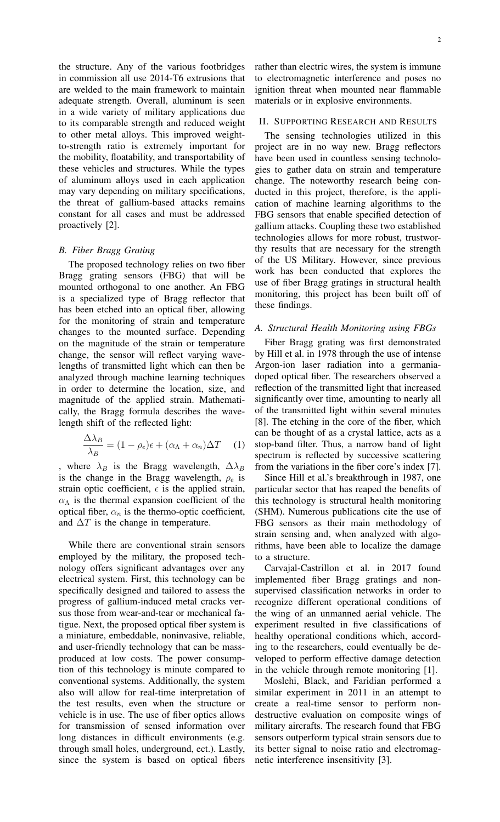the structure. Any of the various footbridges in commission all use 2014-T6 extrusions that are welded to the main framework to maintain adequate strength. Overall, aluminum is seen in a wide variety of military applications due to its comparable strength and reduced weight to other metal alloys. This improved weightto-strength ratio is extremely important for the mobility, floatability, and transportability of these vehicles and structures. While the types of aluminum alloys used in each application may vary depending on military specifications, the threat of gallium-based attacks remains constant for all cases and must be addressed proactively [2].

#### *B. Fiber Bragg Grating*

The proposed technology relies on two fiber Bragg grating sensors (FBG) that will be mounted orthogonal to one another. An FBG is a specialized type of Bragg reflector that has been etched into an optical fiber, allowing for the monitoring of strain and temperature changes to the mounted surface. Depending on the magnitude of the strain or temperature change, the sensor will reflect varying wavelengths of transmitted light which can then be analyzed through machine learning techniques in order to determine the location, size, and magnitude of the applied strain. Mathematically, the Bragg formula describes the wavelength shift of the reflected light:

$$
\frac{\Delta\lambda_B}{\lambda_B} = (1 - \rho_e)\epsilon + (\alpha_\Lambda + \alpha_n)\Delta T \quad (1)
$$

, where  $\lambda_B$  is the Bragg wavelength,  $\Delta \lambda_B$ is the change in the Bragg wavelength,  $\rho_e$  is strain optic coefficient,  $\epsilon$  is the applied strain,  $\alpha_{\Lambda}$  is the thermal expansion coefficient of the optical fiber,  $\alpha_n$  is the thermo-optic coefficient, and  $\Delta T$  is the change in temperature.

While there are conventional strain sensors employed by the military, the proposed technology offers significant advantages over any electrical system. First, this technology can be specifically designed and tailored to assess the progress of gallium-induced metal cracks versus those from wear-and-tear or mechanical fatigue. Next, the proposed optical fiber system is a miniature, embeddable, noninvasive, reliable, and user-friendly technology that can be massproduced at low costs. The power consumption of this technology is minute compared to conventional systems. Additionally, the system also will allow for real-time interpretation of the test results, even when the structure or vehicle is in use. The use of fiber optics allows for transmission of sensed information over long distances in difficult environments (e.g. through small holes, underground, ect.). Lastly, since the system is based on optical fibers

rather than electric wires, the system is immune to electromagnetic interference and poses no ignition threat when mounted near flammable materials or in explosive environments.

#### II. SUPPORTING RESEARCH AND RESULTS

The sensing technologies utilized in this project are in no way new. Bragg reflectors have been used in countless sensing technologies to gather data on strain and temperature change. The noteworthy research being conducted in this project, therefore, is the application of machine learning algorithms to the FBG sensors that enable specified detection of gallium attacks. Coupling these two established technologies allows for more robust, trustworthy results that are necessary for the strength of the US Military. However, since previous work has been conducted that explores the use of fiber Bragg gratings in structural health monitoring, this project has been built off of these findings.

#### *A. Structural Health Monitoring using FBGs*

Fiber Bragg grating was first demonstrated by Hill et al. in 1978 through the use of intense Argon-ion laser radiation into a germaniadoped optical fiber. The researchers observed a reflection of the transmitted light that increased significantly over time, amounting to nearly all of the transmitted light within several minutes [8]. The etching in the core of the fiber, which can be thought of as a crystal lattice, acts as a stop-band filter. Thus, a narrow band of light spectrum is reflected by successive scattering from the variations in the fiber core's index [7].

Since Hill et al.'s breakthrough in 1987, one particular sector that has reaped the benefits of this technology is structural health monitoring (SHM). Numerous publications cite the use of FBG sensors as their main methodology of strain sensing and, when analyzed with algorithms, have been able to localize the damage to a structure.

Carvajal-Castrillon et al. in 2017 found implemented fiber Bragg gratings and nonsupervised classification networks in order to recognize different operational conditions of the wing of an unmanned aerial vehicle. The experiment resulted in five classifications of healthy operational conditions which, according to the researchers, could eventually be developed to perform effective damage detection in the vehicle through remote monitoring [1].

Moslehi, Black, and Faridian performed a similar experiment in 2011 in an attempt to create a real-time sensor to perform nondestructive evaluation on composite wings of military aircrafts. The research found that FBG sensors outperform typical strain sensors due to its better signal to noise ratio and electromagnetic interference insensitivity [3].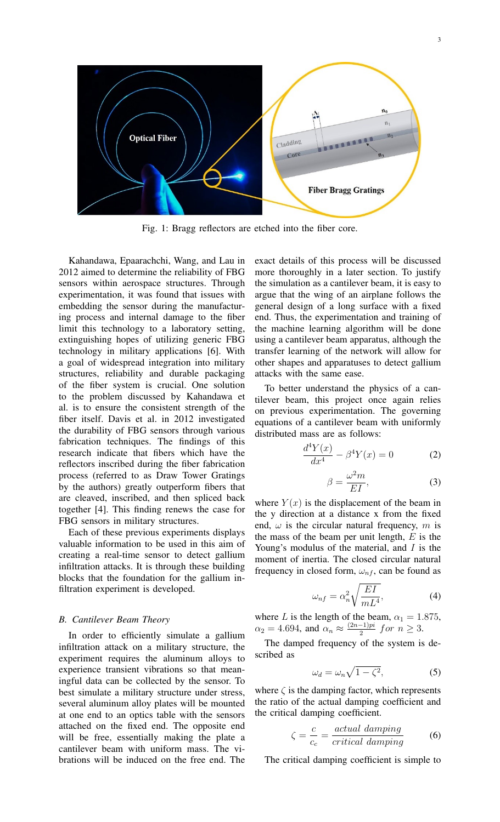

Fig. 1: Bragg reflectors are etched into the fiber core.

Kahandawa, Epaarachchi, Wang, and Lau in 2012 aimed to determine the reliability of FBG sensors within aerospace structures. Through experimentation, it was found that issues with embedding the sensor during the manufacturing process and internal damage to the fiber limit this technology to a laboratory setting, extinguishing hopes of utilizing generic FBG technology in military applications [6]. With a goal of widespread integration into military structures, reliability and durable packaging of the fiber system is crucial. One solution to the problem discussed by Kahandawa et al. is to ensure the consistent strength of the fiber itself. Davis et al. in 2012 investigated the durability of FBG sensors through various fabrication techniques. The findings of this research indicate that fibers which have the reflectors inscribed during the fiber fabrication process (referred to as Draw Tower Gratings by the authors) greatly outperform fibers that are cleaved, inscribed, and then spliced back together [4]. This finding renews the case for FBG sensors in military structures.

Each of these previous experiments displays valuable information to be used in this aim of creating a real-time sensor to detect gallium infiltration attacks. It is through these building blocks that the foundation for the gallium infiltration experiment is developed.

#### *B. Cantilever Beam Theory*

In order to efficiently simulate a gallium infiltration attack on a military structure, the experiment requires the aluminum alloys to experience transient vibrations so that meaningful data can be collected by the sensor. To best simulate a military structure under stress, several aluminum alloy plates will be mounted at one end to an optics table with the sensors attached on the fixed end. The opposite end will be free, essentially making the plate a cantilever beam with uniform mass. The vibrations will be induced on the free end. The

exact details of this process will be discussed more thoroughly in a later section. To justify the simulation as a cantilever beam, it is easy to argue that the wing of an airplane follows the general design of a long surface with a fixed end. Thus, the experimentation and training of the machine learning algorithm will be done using a cantilever beam apparatus, although the transfer learning of the network will allow for other shapes and apparatuses to detect gallium attacks with the same ease.

To better understand the physics of a cantilever beam, this project once again relies on previous experimentation. The governing equations of a cantilever beam with uniformly distributed mass are as follows:

$$
\frac{d^4Y(x)}{dx^4} - \beta^4Y(x) = 0
$$
 (2)

$$
\beta = \frac{\omega^2 m}{EI},\tag{3}
$$

where  $Y(x)$  is the displacement of the beam in the y direction at a distance x from the fixed end,  $\omega$  is the circular natural frequency, m is the mass of the beam per unit length,  $E$  is the Young's modulus of the material, and  $I$  is the moment of inertia. The closed circular natural frequency in closed form,  $\omega_{n}$ , can be found as

$$
\omega_{nf} = \alpha_n^2 \sqrt{\frac{EI}{mL^4}},\tag{4}
$$

where L is the length of the beam,  $\alpha_1 = 1.875$ ,  $\alpha_2 = 4.694$ , and  $\alpha_n \approx \frac{(2n-1)pi}{2}$  $\frac{-1}{2}$  for  $n \geq 3$ .

The damped frequency of the system is described as

$$
\omega_d = \omega_n \sqrt{1 - \zeta^2},\tag{5}
$$

where  $\zeta$  is the damping factor, which represents the ratio of the actual damping coefficient and the critical damping coefficient.

$$
\zeta = \frac{c}{c_c} = \frac{actual \ damping}{critical \ damping} \tag{6}
$$

The critical damping coefficient is simple to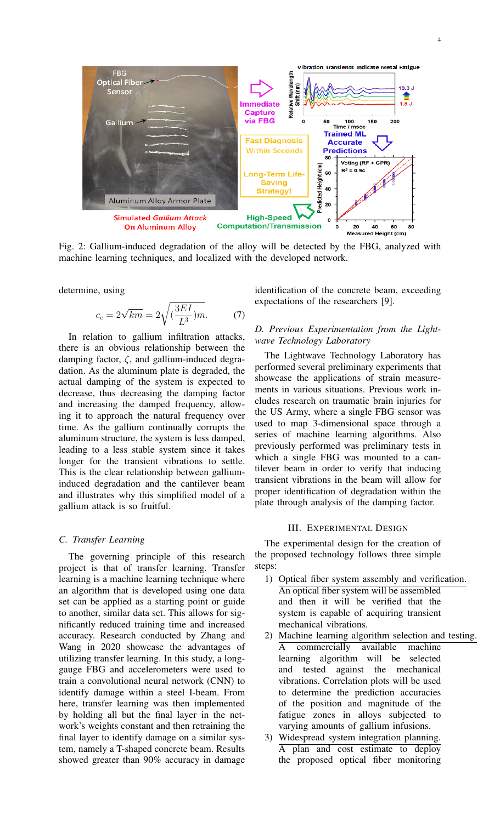

Fig. 2: Gallium-induced degradation of the alloy will be detected by the FBG, analyzed with machine learning techniques, and localized with the developed network.

determine, using

$$
c_c = 2\sqrt{km} = 2\sqrt{\left(\frac{3EI}{L^3}\right)m}.\tag{7}
$$

In relation to gallium infiltration attacks, there is an obvious relationship between the damping factor,  $\zeta$ , and gallium-induced degradation. As the aluminum plate is degraded, the actual damping of the system is expected to decrease, thus decreasing the damping factor and increasing the damped frequency, allowing it to approach the natural frequency over time. As the gallium continually corrupts the aluminum structure, the system is less damped, leading to a less stable system since it takes longer for the transient vibrations to settle. This is the clear relationship between galliuminduced degradation and the cantilever beam and illustrates why this simplified model of a gallium attack is so fruitful.

#### *C. Transfer Learning*

The governing principle of this research project is that of transfer learning. Transfer learning is a machine learning technique where an algorithm that is developed using one data set can be applied as a starting point or guide to another, similar data set. This allows for significantly reduced training time and increased accuracy. Research conducted by Zhang and Wang in 2020 showcase the advantages of utilizing transfer learning. In this study, a longgauge FBG and accelerometers were used to train a convolutional neural network (CNN) to identify damage within a steel I-beam. From here, transfer learning was then implemented by holding all but the final layer in the network's weights constant and then retraining the final layer to identify damage on a similar system, namely a T-shaped concrete beam. Results showed greater than 90% accuracy in damage

identification of the concrete beam, exceeding expectations of the researchers [9].

#### *D. Previous Experimentation from the Lightwave Technology Laboratory*

The Lightwave Technology Laboratory has performed several preliminary experiments that showcase the applications of strain measurements in various situations. Previous work includes research on traumatic brain injuries for the US Army, where a single FBG sensor was used to map 3-dimensional space through a series of machine learning algorithms. Also previously performed was preliminary tests in which a single FBG was mounted to a cantilever beam in order to verify that inducing transient vibrations in the beam will allow for proper identification of degradation within the plate through analysis of the damping factor.

#### III. EXPERIMENTAL DESIGN

The experimental design for the creation of the proposed technology follows three simple steps:

- 1) Optical fiber system assembly and verification. An optical fiber system will be assembled and then it will be verified that the system is capable of acquiring transient mechanical vibrations.
- 2) Machine learning algorithm selection and testing. A commercially available machine learning algorithm will be selected and tested against the mechanical vibrations. Correlation plots will be used to determine the prediction accuracies of the position and magnitude of the fatigue zones in alloys subjected to varying amounts of gallium infusions.
- 3) Widespread system integration planning. A plan and cost estimate to deploy the proposed optical fiber monitoring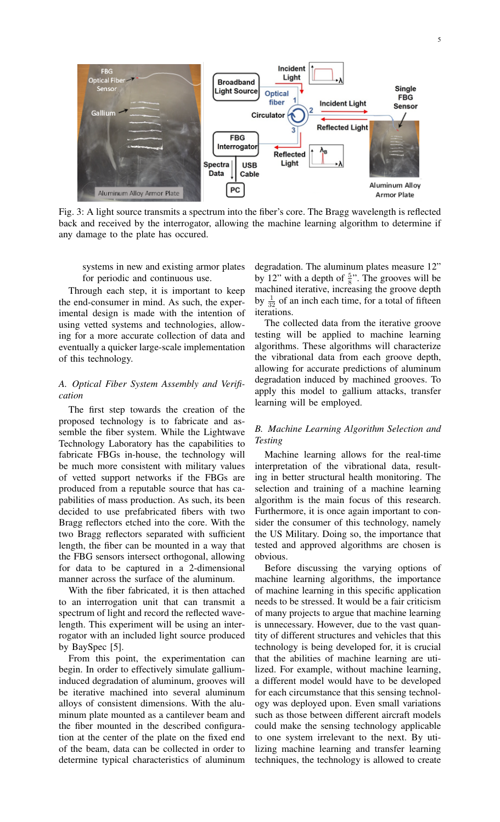

Fig. 3: A light source transmits a spectrum into the fiber's core. The Bragg wavelength is reflected back and received by the interrogator, allowing the machine learning algorithm to determine if any damage to the plate has occured.

systems in new and existing armor plates for periodic and continuous use.

Through each step, it is important to keep the end-consumer in mind. As such, the experimental design is made with the intention of using vetted systems and technologies, allowing for a more accurate collection of data and eventually a quicker large-scale implementation of this technology.

### *A. Optical Fiber System Assembly and Verification*

The first step towards the creation of the proposed technology is to fabricate and assemble the fiber system. While the Lightwave Technology Laboratory has the capabilities to fabricate FBGs in-house, the technology will be much more consistent with military values of vetted support networks if the FBGs are produced from a reputable source that has capabilities of mass production. As such, its been decided to use prefabricated fibers with two Bragg reflectors etched into the core. With the two Bragg reflectors separated with sufficient length, the fiber can be mounted in a way that the FBG sensors intersect orthogonal, allowing for data to be captured in a 2-dimensional manner across the surface of the aluminum.

With the fiber fabricated, it is then attached to an interrogation unit that can transmit a spectrum of light and record the reflected wavelength. This experiment will be using an interrogator with an included light source produced by BaySpec [5].

From this point, the experimentation can begin. In order to effectively simulate galliuminduced degradation of aluminum, grooves will be iterative machined into several aluminum alloys of consistent dimensions. With the aluminum plate mounted as a cantilever beam and the fiber mounted in the described configuration at the center of the plate on the fixed end of the beam, data can be collected in order to determine typical characteristics of aluminum

degradation. The aluminum plates measure 12" by 12" with a depth of  $\frac{5}{8}$ ". The grooves will be machined iterative, increasing the groove depth by  $\frac{1}{32}$  of an inch each time, for a total of fifteen iterations.

The collected data from the iterative groove testing will be applied to machine learning algorithms. These algorithms will characterize the vibrational data from each groove depth, allowing for accurate predictions of aluminum degradation induced by machined grooves. To apply this model to gallium attacks, transfer learning will be employed.

#### *B. Machine Learning Algorithm Selection and Testing*

Machine learning allows for the real-time interpretation of the vibrational data, resulting in better structural health monitoring. The selection and training of a machine learning algorithm is the main focus of this research. Furthermore, it is once again important to consider the consumer of this technology, namely the US Military. Doing so, the importance that tested and approved algorithms are chosen is obvious.

Before discussing the varying options of machine learning algorithms, the importance of machine learning in this specific application needs to be stressed. It would be a fair criticism of many projects to argue that machine learning is unnecessary. However, due to the vast quantity of different structures and vehicles that this technology is being developed for, it is crucial that the abilities of machine learning are utilized. For example, without machine learning, a different model would have to be developed for each circumstance that this sensing technology was deployed upon. Even small variations such as those between different aircraft models could make the sensing technology applicable to one system irrelevant to the next. By utilizing machine learning and transfer learning techniques, the technology is allowed to create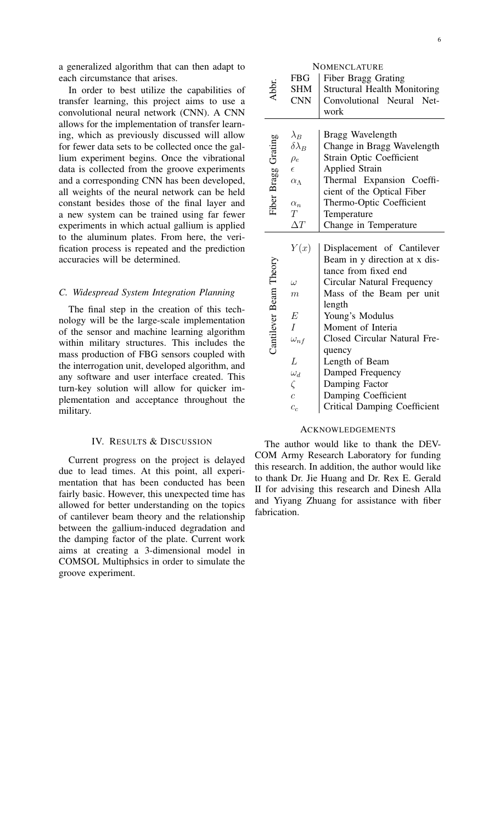a generalized algorithm that can then adapt to each circumstance that arises.

In order to best utilize the capabilities of transfer learning, this project aims to use a convolutional neural network (CNN). A CNN allows for the implementation of transfer learning, which as previously discussed will allow for fewer data sets to be collected once the gallium experiment begins. Once the vibrational data is collected from the groove experiments and a corresponding CNN has been developed, all weights of the neural network can be held constant besides those of the final layer and a new system can be trained using far fewer experiments in which actual gallium is applied to the aluminum plates. From here, the verification process is repeated and the prediction accuracies will be determined.

#### *C. Widespread System Integration Planning*

The final step in the creation of this technology will be the large-scale implementation of the sensor and machine learning algorithm within military structures. This includes the mass production of FBG sensors coupled with the interrogation unit, developed algorithm, and any software and user interface created. This turn-key solution will allow for quicker implementation and acceptance throughout the military.

#### IV. RESULTS & DISCUSSION

Current progress on the project is delayed due to lead times. At this point, all experimentation that has been conducted has been fairly basic. However, this unexpected time has allowed for better understanding on the topics of cantilever beam theory and the relationship between the gallium-induced degradation and the damping factor of the plate. Current work aims at creating a 3-dimensional model in COMSOL Multiphsics in order to simulate the groove experiment.

**NOMENCLATURE** FBG | Fiber Bragg Grating Abbr. SHM Structural Health Monitoring CNN | Convolutional Neural Network  $\lambda_B$  | Bragg Wavelength<br>  $\delta \lambda_B$  | Change in Bragg V Fiber Bragg Grating Fiber Bragg Grating Change in Bragg Wavelength  $\rho_e$  Strain Optic Coefficient  $\epsilon$  | Applied Strain  $\alpha_{\Lambda}$  Thermal Expansion Coefficient of the Optical Fiber  $\alpha_n$  Thermo-Optic Coefficient<br>T Temperature Temperature  $\Delta T$  Change in Temperature  $Y(x)$  Displacement of Cantilever Beam in y direction at x dis-Cantilever Beam Theory Cantilever Beam Theory tance from fixed end  $\omega$  | Circular Natural Frequency  $m$  | Mass of the Beam per unit length  $E$  | Young's Modulus I Moment of Interia  $\omega_{n}$  | Closed Circular Natural Frequency  $L$  | Length of Beam  $\omega_d$  Damped Frequency  $\zeta$  | Damping Factor  $c$  Damping Coefficient  $c_c$  | Critical Damping Coefficient

#### **ACKNOWLEDGEMENTS**

The author would like to thank the DEV-COM Army Research Laboratory for funding this research. In addition, the author would like to thank Dr. Jie Huang and Dr. Rex E. Gerald II for advising this research and Dinesh Alla and Yiyang Zhuang for assistance with fiber fabrication.